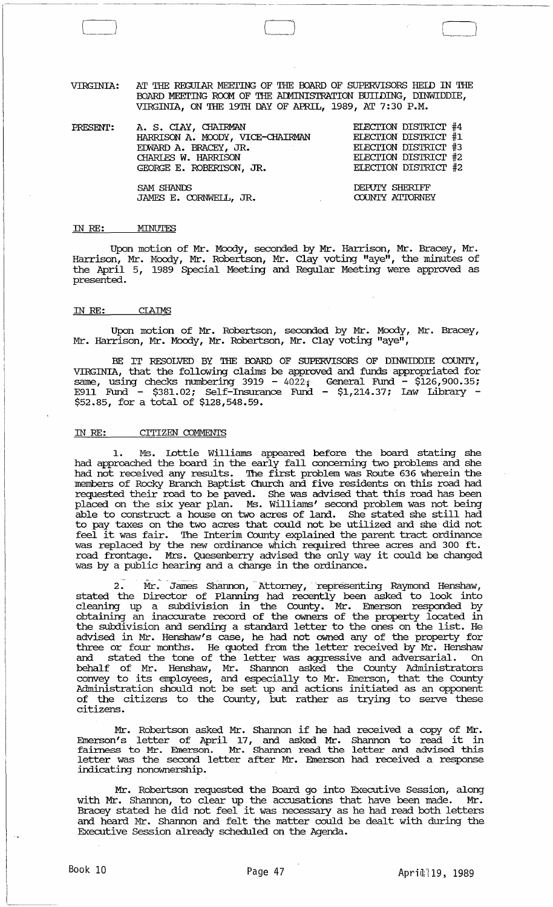VIRGINIA: AT THE REGULAR MEETING OF THE BOARD OF SUPERVISORS HELD IN THE BOARD MEETING ROOM OF THE ADMINISTRATION BUILDING, DINWIDDIE, VIRGINIA, ON THE 19TH DAY OF APRIL, 1989, AT 7: 30 P.M.

| PRESENT: | A. S. CIAY, CHAIRMAN             | ELECTION DISTRICT #4 |
|----------|----------------------------------|----------------------|
|          | HARRISON A. MOODY, VICE-CHAIRMAN | ELECTION DISTRICT #1 |
|          | EDWARD A. BRACEY, JR.            | ELECTION DISTRICT #3 |
|          | CHARLES W. HARRISON              | ELECTION DISTRICT #2 |
|          | GEORGE E. ROBERTSON, JR.         | ELECTION DISTRICT #2 |
|          |                                  |                      |
|          | SAM SHANDS                       | DEPUTY SHERIFF       |
|          | JAMES E. CORNWELL, JR.           | COUNTY ATTORNEY      |

#### ill *RE:*  MINUTES

 $\begin{picture}(150,20) \put(0,0){\line(1,0){155}} \put(150,0){\line(1,0){155}} \put(150,0){\line(1,0){155}} \put(150,0){\line(1,0){155}} \put(150,0){\line(1,0){155}} \put(150,0){\line(1,0){155}} \put(150,0){\line(1,0){155}} \put(150,0){\line(1,0){155}} \put(150,0){\line(1,0){155}} \put(150,0){\line(1,0){155}} \put(150,0){\$ 

Upon motion of Mr. Moody, seconded by Mr. Harrison, Mr. Bracey, Mr. Harrison, Mr. Moody, Mr. Robertson, Mr. Clay voting "aye", the minutes of the April 5, 1989 Special Meeting and Regular Meeting were approved as presented.

#### IN *RE:*  **CLAIMS**

Upon motion of Mr. Robertson, seconded by Mr. Moody, Mr. Bracey, Mr. Harrison, Mr. Moody, Mr. Robertson, Mr. Clay voting "aye",

BE IT RESOLVED BY THE OOARD OF SUPERVISORS OF DINWIDDIE COUNTY, VIRGINIA, that the following claims be approved and funds appropriated for same, using checks numbering 3919 -  $4022$ ; General Fund -  $$126,900.35$ ; E911 Fund - \$381.02; Self-Insurance Fund - \$1,214.37; law Library - \$52.85, for a total of \$128,548.59.

## ill *RE:* CITIZEN COMMENTS

1. Ms. lottie Williams appeared before the board stating she had approached the board in the early fall concerning two problems and she had not received any results. The first problem was Route 636 wherein the members of Rocky Branch Baptist Church and five residents on this road had requested their road to be paved. She was advised that this road has been placed on the six year plan. Ms. Williams' second problem was not being able to construct a house on two acres of land. She stated she still had to pay taxes on the two acres that could not be utilized and she did not to pay taxes on the two acres that cound not be utilized and she did not<br>feel it was fair. The Interim County explained the parent tract ordinance was replaced by the new ordinance which required three acres and 300 ft. was repraced by the new ordinance which required three acres and sou it.<br>road frontage. Mrs. Quesenberry advised the only way it could be changed was by a public hearing and a change in the ordinance.

2. Mr. James Shannon, Attorney, representing Raymond Henshaw, stated the Director of Planning had recently been asked to look into cleaning up a subdivision in the County. Mr. Emerson responded by obtaining an inaccurate record of the owners of the property located in the subdivision and sending a standard letter to the ones on the list. He advised in Mr. Henshaw's case, he had not owned any of the property for three or four months. He, quoted from the letter received by Mr. Henshaw and stated the tone of the letter was aggressive and adversarial. On behalf of Mr. Henshaw, Mr. Shannon asked the County Administrators convey to its employees, and especially to Mr. Emerson, that the County Administration should not be set up and actions initiated as an opponent of the citizens to the County, but rather as trying to serve these citizens.

Mr. Robertson asked Mr. Shannon if he had received a copy of Mr. mr. Robertson asked Mr. Shannon II he had received a copy of Mr.<br>Emerson's letter of April 17, and asked Mr. Shannon to read it in fairness to Mr. Emerson. Mr. Shannon read the letter and advised this letter was the second letter after Mr. Emerson had received a response indicating nonownership.

Mr. Robertson requested the Board go into Executive Session, along with Mr. Shannon, to clear up the accusations that have been made. Mr. with Mr. Shahhon, to clear up the accusations that have been made. Mr.<br>Bracey stated he did not feel it was necessary as he had read both letters and heard Mr. Shannon and felt the matter could be dealt with during the Executive Session already scheduled on the Agenda.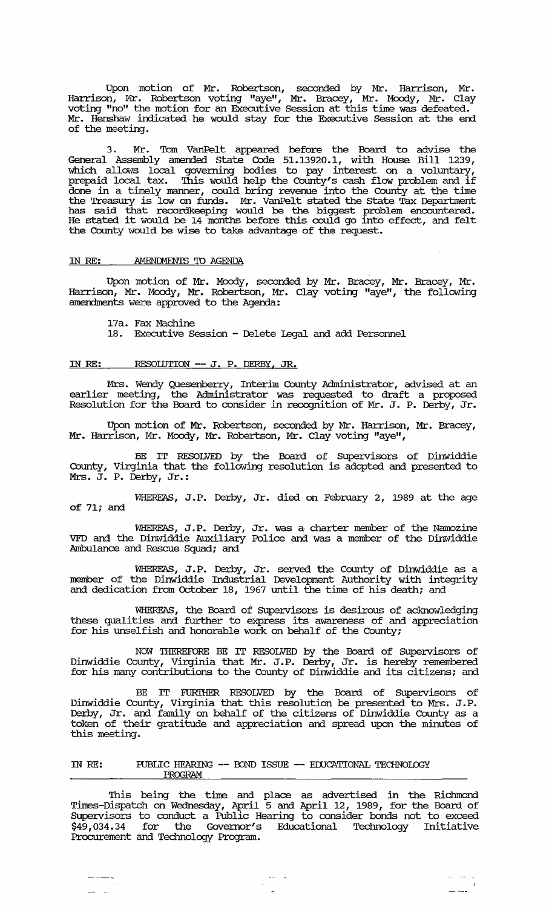Upon motion of Mr. Robertson, seconded by Mr. Harrison, Mr. Harrison, Mr. Robertson voting "aye", Mr. Bracey, Mr. Mocxly, Mr. Clay voting "no" the motion for an Executive session at this time was defeated. Mr. Henshaw indicated· he would stay for the Executive session at the end of the meeting.

3. Mr. Tom VanPelt appeared before the Board to advise the General Assembly amended state Code 51.13920.1, with House Bill 1239, which allows local governing bodies to pay interest on a voluntary, prepaid local tax. This would help the County's cash flow problem and if done in a timely manner, could bring revenue into the County at the time the Treasury is low on funds. Mr. VanPelt stated the State Tax Department has said that recordkeeping would be the biggest problem encountered. He stated it would be 14 months before this could go into effect, and felt the County would be wise to take advantage of the request.

#### IN RE: AMENDMENTS TO AGENDA

Upon motion of Mr. Moody, seconded by Mr. Bracey, Mr. Bracey, Mr. Harrison, Mr. Moody, Mr. Robertson, Mr. Clay voting "aye", the following amendments were approved to the Agenda:

17a. Fax Machine

www.company.com

18. Executive session - Delete legal and add Personnel

#### IN RE: RESOLUTION -- J. P. DERBY, JR.

Mrs. Wendy Quesenberry, Interim County Administrator, advised at an earlier meeting, the Administrator was requested to draft a proposed Resolution for the Board to consider in recognition of Mr. J. P. Derby, Jr.

Upon motion of Mr. Robertson, seconded by Mr. Harrison, Mr. Bracey, Mr. Harrison, Mr. Moody, Mr. Robertson, Mr. Clay voting "aye",

BE IT RESOLVED by the Board of Supervisors of Dinwiddie County, Virginia that the following resolution is adopted and presented to Mrs. J. P. Derby, Jr.:

WHEREAS, J.P. Derby, Jr. died on February 2, 1989 at the age of 71; and

WHEREAS, J.P. Derby, Jr. was a charter member of the Namozine VFD and the Dinwiddie Auxiliary Police and was a member of the Dinwiddie Ambulance and Rescue Squad; and

WHEREAS, J.P. Derby, Jr. served the County of Dinwiddie as a member of the Dinwiddie Industrial Development Authority with integrity and dedication from October 18, 1967 until the time of his death; and

WHEREAS, the Board of Supervisors is desirous of acknowledging these qualities and further to express its awareness of and appreciation for his unselfish and honorable work on behalf of the County;

NOW THEREFORE BE IT RESOLVED by the Board of Supervisors of Dinwiddie County, Virginia that Mr. J. P. Derby, Jr. is hereby remembered for his many contributions to the County of Dinwiddie and its citizens; and

BE IT FURTHER RESOLVED by the Board of Supervisors of Dinwiddie County, Virginia that this resolution be presented to Mrs. J. P. Derby, Jr. and family on behalf of the citizens of Dinwiddie County as a token of their gratitude and appreciation and spread upon the minutes of this meeting.

#### rn RE: PUBLIC HEARING **--** OOND ISSUE **--** EOOCATIONAL 'IECHNOIOGY PROGRAM

This being the time and place as advertised in the Richmond Times-Dispatch on Wednesday, April 5 and April 12, 1989, for the Board of Supervisors to conduct a Public Hearing to consider bonds not to exceed \$49,034.34 for the Governor's Educational Technology Initiative Procurement and Technology Program.

> $\sigma(\sigma) = \sigma$  $\mathcal{A}^{\mathcal{A}}$

يدا معدات مما

 $\sim$   $\sim$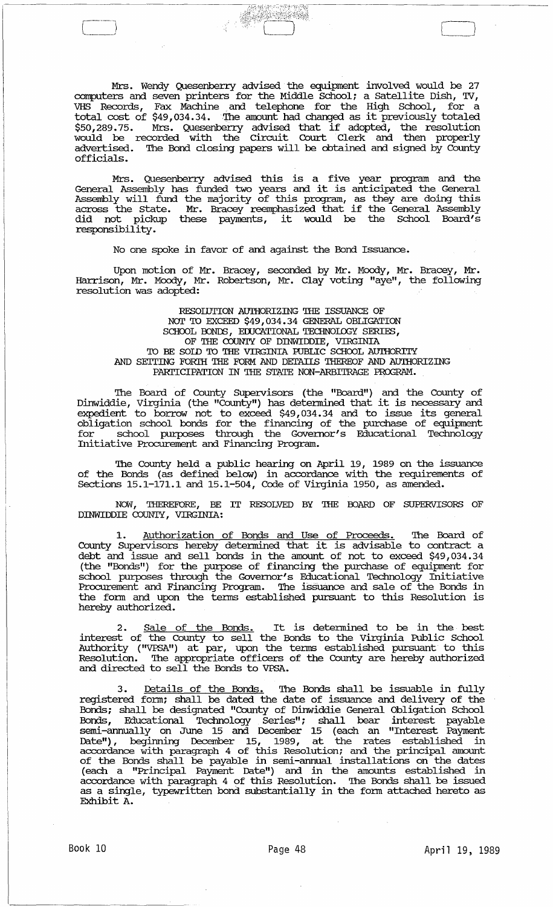Mrs. Wendy Quesenberry advised the equipment involved would be 27 computers and seven printers for the Middle School; a Satellite Dish, TV, VHS Records, Fax Machine and telephone for the High School, for a total cost of \$49,034.34. The amount had changed as it previously totaled \$50,289. 75. Mrs. Quesenberry advised that if adopted, the resolution would be recorded with the circuit Court Clerk and then properly advertised. The Bond closing papers will be obtained and signed by County officials.

ê Grê

Mrs. Quesenberry advised this is a five year program and the General Assembly has funded two years and it is anticipated the General Assembly will fund the majority of this program, as they are doing this Assembly will limit the majority of this program, as they are doing this did not pickup these payments, it would be the School Board's responsibility .

No one spoke in favor of and against the Bond Issuance.

Upon motion of Mr. Bracey, seconded by Mr. Moody, Mr. Bracey, Mr. Harrison, Mr. Moody, Mr. Robertson, Mr. Clay voting "aye", the following resolution was adopted:

RESOIUTION AUTHORIZING THE ISSUANCE OF Nor 'IO EXCEED \$49,034.34 GENERAL OBLIGATION SCHOOL BONDS, EDUCATIONAL TECHNOLOGY SERIES, OF THE COUNTY OF DINWIDDIE, VIRGINIA 'IO BE SOID 'IO THE VIRGINIA IUBLIC SCHOOL AU'IHORITY AND SETTING FORTH THE FORM AND DETAILS THEREOF AND AUTHORIZING PARTICIPATION IN THE STATE NON-ARBITRAGE PROGRAM.

The Board of County SUpervisors (the "Board") and the County of Dinwiddie, Virginia (the "County") has determined that it is necessary and expedient to borrow not to exceed \$49,034.34 and to issue its general Obligation school bonds for the financing of the purchase of equipment for school purposes through the Governor's Educational Technology Initiative Procurement and Financing Program.

The County held a public hearing on April 19, 1989 on the issuance of the Bonds (as defined below) in accordance with the requirements of Sections  $15.1-171.1$  and  $15.1-504$ , Code of Virginia 1950, as amended.

NOW, THEREFORE, BE IT RESOLVED BY THE OOARD OF SUPERVISORS OF DINWIDDIE COUNTY, VIRGINIA:

1. Authorization of Bonds and Use of **Proceeds.** The Board of County SUpervisors hereby determined that it is advisable to contract a debt and issue and sell bonds in the amount of not to exceed \$49,034.34 (the "Bonds") for the purpose of financing the purchase of equipment for school purposes through the Governor's Educational Technology Initiative Procurement and Financing Program. The isSuance and sale of the Bonds in the fonn and upon the terms established pursuant to this Resolution is hereby authorized.

2. Sale of the **Bonds.** It is detennined to be in the best interest of the County to sell the Bonds to the Virginia Public School Authority ("VPSA") at par, upon the tenus established pursuant to this Resolution. The appropriate officers of the County are hereby authorized and directed to sell the Bonds to VPSA.

3. Details of the **Bonds.** The Bonds shall be issuable in fully registered fonn; shall be dated the date of issuance and delivery of the Bonds; shall be designated "County of Dinwiddie General Obligation School Bonds, Educational Technology Series"; shall bear interest payable semi-annually on June 15 and December 15 (each an "Interest Payment Date") , beginning December 15, 1989, at the rates established in accordance with paragraph 4 of this Resolution; and the principal amount of the Bonds shall be payable in semi -annual installations on the dates (each a "Principal Payment Date") and in the amounts established in accordance with paragraph 4 of this Resolution. The Bonds shall be issued as a single, typewritten bond substantially in the fonn attached hereto as Exhibit A.

I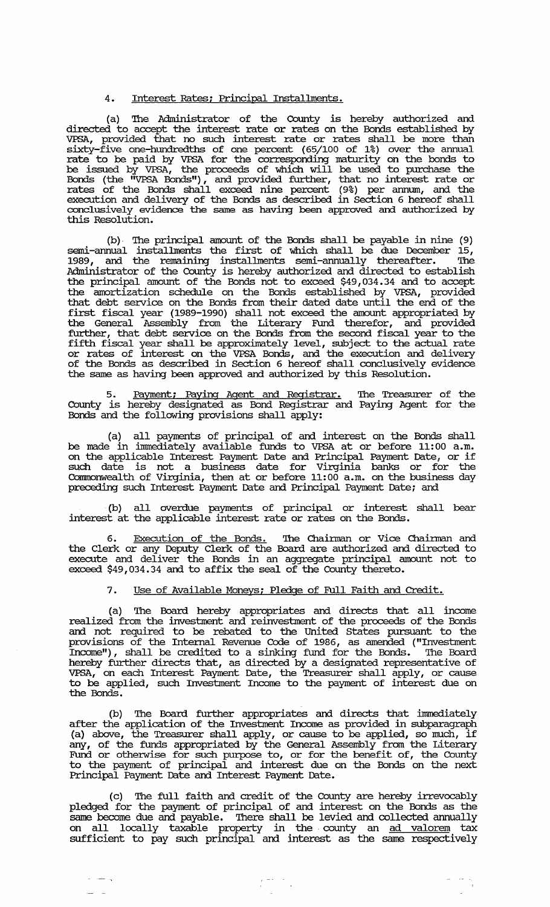#### 4. Interest Rates; Principal Installments.

(a) '!he Administrator of the County is hereby authorized and directed to accept the interest rate or rates on the Bonds established by VPSA, provided that no such interest rate or rates shall be more than sixty-five one-hundredths of one percent (65/100 of 1%) over the annual rate to be paid by VPSA for the corresponding maturity on the bonds to be issued by VPSA, the proceeds of which will be used to purchase the Bonds (the "VPSA Bonds"), and provided further, that no interest rate or rates of the Bonds shall exceed nine percent (9%) per annum, and the execution and delivery of the Bonds as described in Section 6 hereof shall conclusively evidence the same as having been approved and authorized by this Resolution.

(b) , '!he principal amount of the Bonds shall be payable in nine (9) semi-annual installments the first of which shall be due December 15, 1989, and the remaining installments semi-annually thereafter. The Administrator of the County is hereby authorized and directed to establish the principal amount of the Bonds not to exceed \$49,034.34 and to accept the amortization schedule on the Bonds established by VPSA, provided that debt service on the Bonds from their dated date until the end of the first fiscal year (1989-1990) shall not exceed the amount appropriated by the General Assembly from the Literary Fund therefor, and provided further, that debt service on the Bonds from the second fiscal year to the fifth fiscal year shall be approxlinately level, subject to the actual rate or rates of interest on the VPSA Bonds, and the execution and delivery of the Bonds as described in Section 6 hereof shall conclusively evidence the same as having been approved and authorized by this Resolution.

5. <u>Payment; Paying Agent and Registrar.</u> The Treasurer of the County is hereby designated as Bond Registrar and Paying Agent for the Bonds and the following provisions shall apply:

(a) all payments of principal of and interest on the Bonds shall be made in immediately available funds to VPSA at or before 11:00 a.m. on the applicable Interest Payment Date and Principal Payment Date, or if Such date is not a business date for Virginia banks or for the Commonwealth of Virginia, then at or before 11:00 a.m. on the business day preceding such Interest Payment Date and Principal Payment Date; and

(b) all overdue payments of principal or interest shall bear interest at the applicable interest rate or rates on the Bonds.

6. Execution of the Bonds. The Chairman or Vice Chairman and the Clerk or any Deputy Clerk of the Board are authorized and directed to execute and deliver the Bonds in an aggregate principal amount not to exceed \$49,034.34 and to affix the seal of the County thereto.

## 7. Use of Available Moneys; Pledge of Full Faith and Credit.

(a) '!he Board hereby appropriates and directs that all income realized from the investment and reinvestment of the proceeds of the Bonds and not required to be rebated to the united states pursuant to the provisions of the Internal Revenue Code of 1986, as amended ("Investment Income"), shall be credited to a sinking fund for the Bonds. '!he Board hereby further directs that, as directed by a designated representative of VPSA, on each Interest Payment Date, the Treasurer shall apply, or cause to be applied, such Investment Income to the payment of interest due on the Bonds.

(b) The Board further appropriates and directs that immediately after the application of the Investment Income as provided in subparagraph above, the Treasurer shall apply, or cause to be applied, so much, if any, of the funds appropriated by the General Assembly from the Literary Fund or otherwise for such purpose to, or for the benefit of, the County to the payment of principal and interest due on the Bonds on the next Principal Payment Date and Interest Payment Date.

(c) '!he full faith and credit of the County are hereby irrevocably pledged for the payment of principal of and interest on the Bonds as the same become due and payable. There shall be levied and collected annually on all locally taxable property in the· county an ad valorem tax sufficient to pay such principal and interest as the same respectively

 $\sum_{k=1}^{n} \frac{1}{k} \sum_{i=1}^{n} \frac{1}{k} \sum_{j=1}^{n} \frac{1}{k} \sum_{j=1}^{n} \frac{1}{k} \sum_{j=1}^{n} \frac{1}{k} \sum_{j=1}^{n} \frac{1}{k} \sum_{j=1}^{n} \frac{1}{k} \sum_{j=1}^{n} \frac{1}{k} \sum_{j=1}^{n} \frac{1}{k} \sum_{j=1}^{n} \frac{1}{k} \sum_{j=1}^{n} \frac{1}{k} \sum_{j=1}^{n} \frac{1}{k} \sum_{j=1}^{n} \frac{1}{k$ 

 $\sigma_{\rm{eff}}$  , and  $\sigma_{\rm{eff}}$ 

 $\frac{1}{\sqrt{2}}$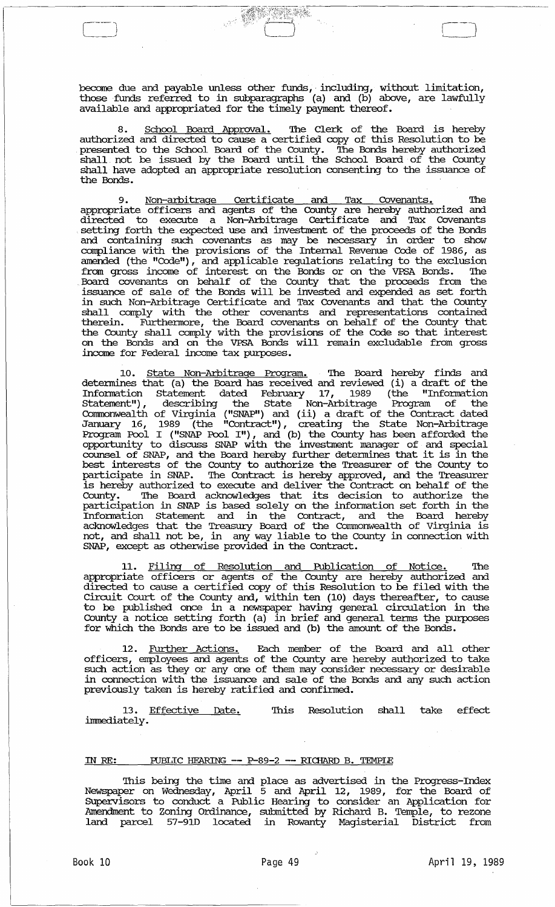become due and payable unless other funds, including, without limitation, those funds referred to in subparagraphs (a) and (b) above, are lawfully available and appropriated for the timely payment thereof.

--' *c---]* 

8. <u>School Board Approval.</u> The Clerk of the Board is hereby authorized and directed to cause a certified copy of this Resolution to be presented to the School Board of the County. The Bonds hereby authorized shall. not be issued by the Board until the School Board of the County shall have adopted an appropriate resolution consenting to the issuance of the Bonds.

9. <u>Non-arbitrage Certificate and Tax Covenants.</u> The appropriate officers and agents of the County are hereby authorized and directed to execute a Non-Arhitrage Certificate and Tax Covenants setting forth the expected use and investment of the proceeds of the Bonds and containing such covenants as may be necessary in order to show compliance with the provisions of the Internal Revenue Code of 1986, as amended (the "Code"), and applicable regulations relating to the exclusion from gross income of interest on the Bonds or on the VPSA Bonds. '!he . Board covenants on behalf of the County that the proceeds from the issuance of sale of the Bonds will be invested and expended as set forth in such Non-Arbitrage Certificate and Tax Covenants and that the County shall comply with the other covenants and representations contained therein. Furthennore, the Board covenants on behalf of the County that the County shall comply with the provisions of the Code so that interest on the Bonds and on the VPSA Bonds will remain excludable from gross income for Federal income tax purposes.

10. <u>State Non-Arbitrage Program.</u> The Board hereby finds and detennines that (a) the Board has received and reviewed (i) a draft of the Information Statement dated February 17, 1989 (the "Information statement") , describing the State Non-Arbitrage Program of the Corrnnonwealth of Virginia ("SNAP") and (ii) a draft of the Contract dated January 16, 1989 (the "Contract"), creating the State Non-Arbitrage Program Pool I ("SNAP Pool I"), and (b) the County has been afforded the opportunity to discuss SNAP with the invesbnent manager of and special counsel of SNAP, and the Board hereby further detennines that it is in the best interests of the County to authorize the Treasurer of the County to participate in SNAP. '!he Contract is hereby approved, and the Treasurer is hereby authorized to execute and deliver the Contract on behalf of the County. '!he Board acknowledges that its decision to authorize the participation in SNAP is based solely on the infonnation set forth in the Infonnation Statement and in the Contract, and the Board hereby acknowledges that the Treasury Board of the Commonwealth of Virginia is not, and shall not be, in any way liable to the County in connection with  $SNAP$ , except as otherwise provided in the Contract.

11. Filing of Resolution and Publication of Notice. The appropriate officers or agents of the County are hereby authorized and directed to cause a certified copy of this Resolution to be filed with the circuit Court of the County and, within ten (10) days thereafter, to cause to be published once in a newspaper having general circulation in the County a notice setting forth (a) in brief and general tenus the purposes for which the Bonds are to be issued and (b) the amount of the Bonds.

12. Further Actions. Each member of the Board and all other officers, employees and agents of the County are hereby authorized to take such action as they or anyone of them may consider necessary or desirable in connection with the issuance and sale of the Bonds and any such action previously taken is hereby ratified and confinned.

13. Effective Date. immediately. '!his Resolution shall take effect

## IN RE: PUBLIC HEARING -- P-89-2 -- RICHARD B. TEMPLE

This being the time and place as advertised in the Progress-Index Newspaper on Wednesday, April 5 and April 12, 1989, for the Board of SUpervisors to conduct a Public Hearing to consider an Application for Amendment to Zoning Ordinance, submitted by Richard B. Temple, to rezone land parcel 57-91D located in Rowanty Magisterial District from

 $\begin{array}{c} \hline \end{array}$ 

 $\overline{\phantom{a}}$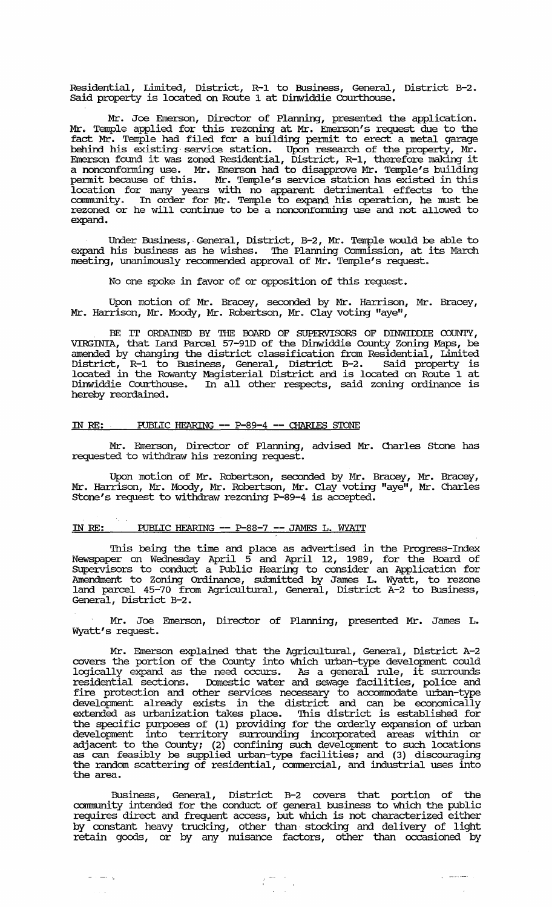Residential, Limited, District, R-1 to Business, General, District B-2. Said property is located on Route 1 at Dinwiddie Courthouse.

Mr. Joe Emerson, Director of Plarming, presented the application. Mr. Temple applied for this rezoning at Mr. Emerson's request due to the fact Mr. Temple had filed for a building pennit to erect a metal garage behind his existing service station. Upon research of the property, Mr. Emerson found it was zoned Residential, District, R-1, therefore making it a nonconfonning use. Mr. Emerson had to disapprove Mr. Temple's building permit because of this. Mr. Temple's service station has existed in this location for many years with no apparent detrimental effects to the carmnunity. In order for Mr. Temple to expand his operation, he must be rezoned or he will continue to be a nonconfonning use and not allowed to expand.

Under Business, General, District, B-2, Mr. Temple would be able to expand his business as he wishes. '!he Plarming Commission, at its March meeting, unanimously recommended approval of Mr. Temple's request.

No one spoke in favor of or opposition of this request.

Upon motion of Mr. Bracey, seconded by Mr. Harrison, Mr. Bracey, Mr. Harrison, Mr. Moody, Mr. Robertson, Mr. Clay voting "aye",

BE IT ORDAINED BY THE BOARD OF SUPERVISORS OF DINWIDDIE COUNTY, VIRGINIA, that land Parcel 57-910 of the Dinwiddie County Zoning Maps, be amended by changing the district classification from Residential, Limited District, R-1 to Business, General, District B-2. Said property is located in the Rowanty Magisterial District and is located on Route 1 at Dinwiddie Courthouse. In all other respects, said zoning ordinance is hereby reordained.

## IN RE: PUBLIC HEARING -- P-89-4 -- CHARLES STONE

Mr. Emerson, Director of Plarming, advised Mr. Charles Stone has requested to withdraw his rezoning request.

Upon motion of Mr. Robertson, seconded by Mr. Bracey, Mr. Bracey, Mr. Harrison, Mr. Moody, Mr. Robertson, Mr. Clay voting "aye", Mr. Charles Stone's request to withdraw rezoning P-89-4 is accepted.

# IN RE: PUBLIC HEARING -- P-88-7 -- JAMES L. WYATT

This being the time and place as advertised in the Progress-Index Newspaper on Wednesday April 5 and April 12, 1989, for the Board of SUpervisors to conduct a Public Hearing to consider an Application for Amendment to Zoning Ordinance, submitted by James L. Wyatt, to rezone land parcel 45-70 from Agricultural, General, District A-2 to Business, General, District B-2.

Mr. Joe Emerson, Director of Plarming, presented Mr. James L. Wyatt's request.

Mr. Emerson explained that the Agricultural, General, District A-2 covers the portion of the County into which urban-type development could logically expand as the need occurs. As a general rule, it surrounds residential sections. Domestic water and sewage facilities, police and fire protection and other services necessary to accommodate urban-type development already exists in the district and can be economically extended as urbanization takes place. '!his district is established for the specific purposes of (1) providing for the orderly expansion of urban development into territory surrounding incorporated areas within or adjacent to the County; (2) confining such development to such locations as can feasibly be supplied urban-type facilities; and (3) discouraging the random scattering of residential, commercial, and industrial uses into the area.

Business, General, District B-2 covers that portion of the community intended for the conduct of general business to which the public requires direct and frequent access, but which is not characterized either by constant heavy trucking, other than stocking and delivery of light retain goods, or by any nuisance factors, other than occasioned by

 $\begin{array}{ccc} \overline{I} & \overline{S} & \overline{S} & \overline{S} \\ \overline{I} & \overline{S} & \overline{S} & \overline{S} \\ \overline{I} & \overline{S} & \overline{S} & \overline{S} \\ \end{array}$ 

 $\frac{1}{2} \left( \frac{1}{2} \right) \left( \frac{1}{2} \right) \left( \frac{1}{2} \right) \left( \frac{1}{2} \right) \left( \frac{1}{2} \right) \left( \frac{1}{2} \right) \left( \frac{1}{2} \right) \left( \frac{1}{2} \right) \left( \frac{1}{2} \right) \left( \frac{1}{2} \right) \left( \frac{1}{2} \right) \left( \frac{1}{2} \right) \left( \frac{1}{2} \right) \left( \frac{1}{2} \right) \left( \frac{1}{2} \right) \left( \frac{1}{2} \right) \left( \frac$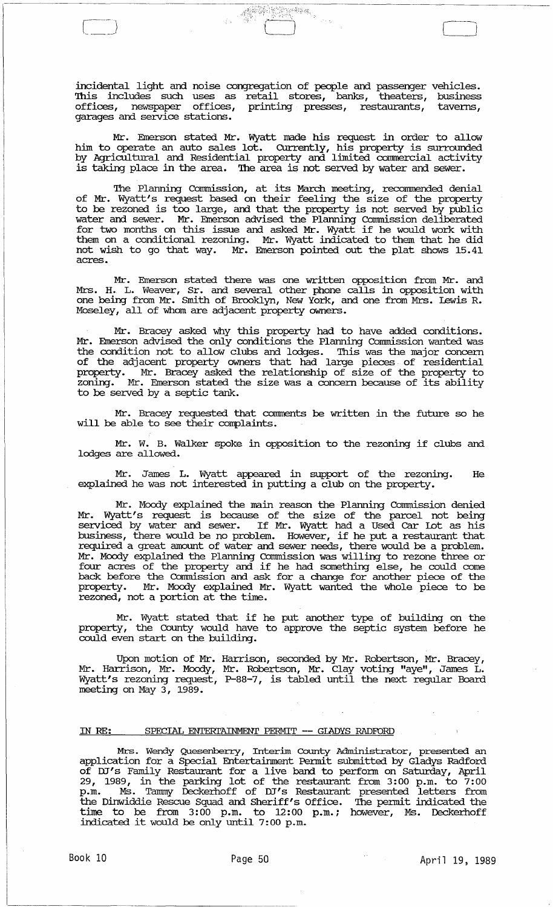incidental light and noise congregation of people and passenger vehicles. '!his includes such uses as retail stores, banks, theaters, business offices, newspaper offices, printing presses, restaurants, taverns, garages and service stations.

**RESERVED** 

Mr. Emerson stated Mr. Wyatt made his request in order to allow him to operate an auto sales lot. Currently, his property is surrounded by Agricultural and Residential property and limited commercial activity is taking place in the area. The area is not served by water and sewer.

The Planning Commission, at its March meeting, recommended denial of Mr. Wyatt's request based on their feeling the size of the property to be rezoned is too large, and that the property is not served by public water and sewer. Mr. Emerson advised the Planning Connnission deliberated for two months on this issue and asked Mr. Wyatt if he would work with them on a conditional rezoning. Mr. Wyatt indicated to them that he did not wish to go that way. Mr. Emerson pointed out the plat shows 15.41 acres.

Mr. Emerson stated there was one written opposition from Mr. and Mrs. H. L. Weaver, Sr. and several other phone calls in opposition with one being from Mr. Smith of Brooklyn, New York, and one from Mrs. lewis R. Moseley, all of whom are adjacent property owners.

Mr. Bracey asked why this property had to have added conditions. Mr. Emerson advised the only conditions the Planning Connnission wanted was the condition not to allow clubs and lodges. This was the major concern of the adjacent property owners that had large pieces of residential property. Mr. Bracey asked the relationship of size of the property to zoning. Mr. Emerson stated the size was a concern because of its ability to be served by a septic tank.

Mr. Bracey requested that comments be written in the future so he will be able to see their complaints.

Mr. W. B. Walker spoke in opposition to the rezoning if clubs and lodges are allowed.

Mr. James L. Wyatt appeared in support of the rezoning. He explained he was not interested in putting a club on the property.

Mr. Moody explained the main reason the Planning Commission denied Mr. Wyatt's request is because of the size of the parcel not being serviced by water and sewer. If Mr. Wyatt had a Used Car Lot as his business, there would be no problem. However, if he put a restaurant that required a great amount of water and sewer needs, there would be a problem. Mr. Moody explained the Planning Connnission was willing to rezone three or four acres of the property and if he had something else, he could come back before the Commission and ask for a change for another piece of the property. Mr. Moody explained Mr. Wyatt wanted the whole piece to be rezoned, not a portion at the time.

Mr. Wyatt stated that if he put another type of building on the property, the County would have to approve the septic system before he could even start on the building.

Upon motion of Mr. Harrison, seconded by Mr. Robertson, Mr. Bracey, Mr. Harrison, Mr. Moody, Mr. Robertson, Mr. Clay voting "aye", James L. Wyatt's rezoning request, P-88-7, is tabled until the next regular Board meeting on May 3, 1989.

## IN RE: SPECIAL ENTERTAINMENT PERMIT -- GIADYS RADFORD

Mrs. Wendy Quesenberry, Interim County Administrator, presented an application for a Special Entertainment Pennit submitted by Gladys Radford of DJ's Family Restaurant for a live band to perform on Saturday, April 29, 1989, in the parking lot of the restaurant from 3:00 p.m. to 7:00 p.m. Ms. Tammy Deckerhoff of ill's Restaurant presented letters from the Dinwiddie Rescue Squad and Sheriff's Office. The permit indicated the time to be from 3:00 p.m. to 12:00 p.m.; however, Ms. Deckerhoff indicated it would be only until 7:00 p.m.

Cl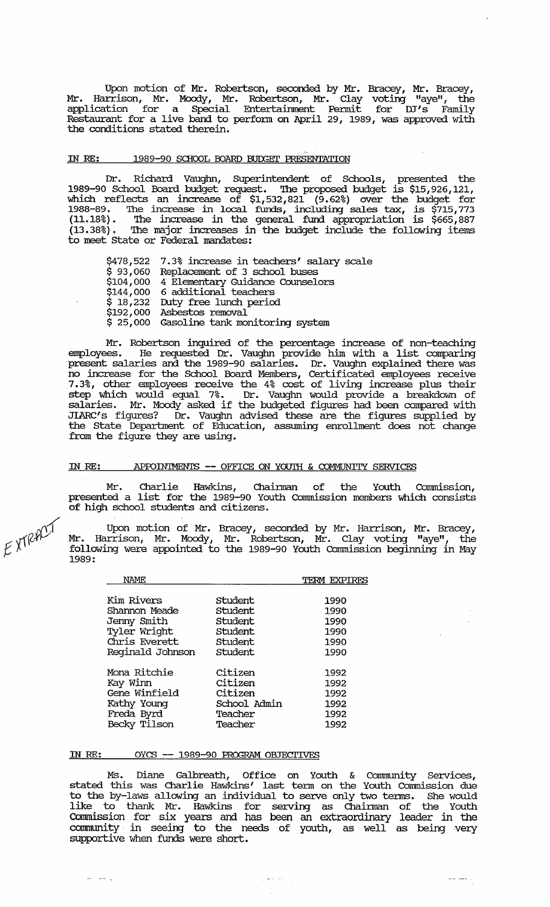Upon motion of Mr. Robertson, seconded by Mr. Bracey, Mr. Bracey, Mr. Harrison, Mr. Moody, Mr. Robertson, Mr. Clay voting "aye", the application for a Special Entertainment Permit for DJ's Family Restaurant for a live band to perfonn on April 29, 1989, was approved with the conditions stated therein.

# IN RE: 1989-90 SCHOOL BOARD BUDGET PRESENTATION

Dr. Richard Vaughn, SUperintendent of Schools, presented the 1989-90 School Board budget request. The proposed budget is \$15,926,121, which reflects an increase of \$1,532,821 (9.62%) over the budget for 1988-89. The increase in local funds, including sales tax, is \$715,773 (11.18%) . The increase in the general fund appropriation is \$665,887 (13.38%) • The major increases in the budget include the following items to meet State or Federal mandates:

\$478,522 7.3% increase in teachers' salary scale  $\dot{\varphi}$  93,060 Replacement of 3 school buses \$104,000 4 Elementary Guidance Counselors \$144,000 6 additional teachers \$ 18,232 Duty free lunch period \$192,000 Asbestos removal \$ 25,000 Gasoline tank. monitoring system

Mr. Robertson inquired of the percentage increase of non-teaching<br>employees. He requested Dr. Vaughn provide him with a list comparing He requested Dr. Vaughn provide him with a list comparing present salaries and the 1989-90 salaries. Dr. Vaughn explained there was no increase for the School Board Members, Certificated employees receive 7.3%, other employees receive the 4% cost of living increase plus their step which would equal 7%. Dr. Vaughn would provide a breakdown of salaries. Mr. Moody asked if the budgeted figures had been compared with JIARC's figures? Dr. Vaughn advised these are the figures supplied by the State Department of Education, assuming enrollment does not change from the figure they are using.

#### IN *RE:* APFOIN'IMENTS -- OFFICE ON YOUTH & COMMUNITY SERVICES

Mr. Charlie Hawkins, Chairman of the Youth Commission, presented a list for the 1989-90 Youth Oommission members which consists of high school students and citizens.

Upon motion of Mr. Bracey, seconded by Mr. Harrison, Mr. Bracey, Mr. Harrison, Mr. Moody, Mr. Robertson, Mr. Clay voting "aye", the following were appointed to the 1989-90 Youth Commission beginning in May 1989:

| NAME             |              | TERM EXPIRES |
|------------------|--------------|--------------|
| Kim Rivers       | Student      | 1990         |
| Shannon Meade    | Student      | 1990         |
| Jenny Smith      | Student      | 1990         |
| Tyler Wright     | Student      | 1990         |
| Chris Everett    | Student      | 1990         |
| Reginald Johnson | Student      | 1990         |
| Mona Ritchie     | Citizen      | 1992         |
| Kay Winn         | Citizen      | 1992         |
| Gene Winfield    | Citizen      | 1992         |
| Kathy Young      | School Admin | 1992         |
| Freda Byrd       | Teacher      | 1992         |
| Becky Tilson     | Teacher      | 1992         |

#### IN *RE:*  OYCS -- 1989-90 PROGRAM OBJECTIVES

Ms. Diane Galbreath, Office on Youth & Community Services, stated this was Charlie Hawkins' last tenn on the Youth Commission due to the by-laws allowing an individual to serve only two tenns. She would like to thank Mr. Hawkins for serving as Chainnan of the Youth Commission for six years and has been an extraordinary leader in the community in seeing to the needs of youth, as well as being very supportive when funds were short.

بالداعا المراجين

 $\bar{z}$ 



 $\frac{1}{2} \frac{1}{2} \left( \frac{1}{2} \frac{1}{2} \frac{1}{2} \frac{1}{2} \frac{1}{2} \frac{1}{2} \frac{1}{2} \frac{1}{2} \frac{1}{2} \frac{1}{2} \frac{1}{2} \frac{1}{2} \frac{1}{2} \frac{1}{2} \frac{1}{2} \frac{1}{2} \frac{1}{2} \frac{1}{2} \frac{1}{2} \frac{1}{2} \frac{1}{2} \frac{1}{2} \frac{1}{2} \frac{1}{2} \frac{1}{2} \frac{1}{2} \frac{1}{2} \frac{1}{2} \frac{1}{2}$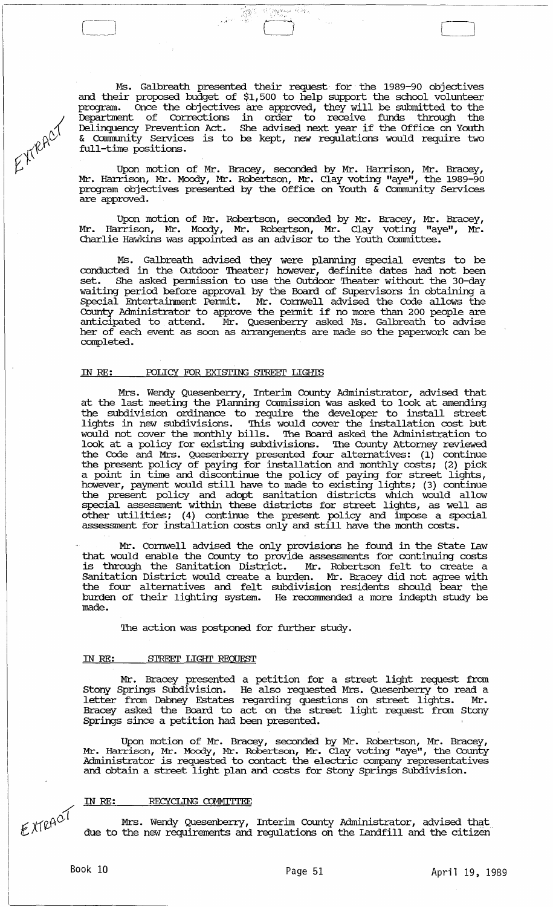Ms. Galbreath presented their request· for' the 1989-90 objectives and their proposed budget of \$1,500 to help support the school volunteer program. Once the objectives are approved, they will be submitted to the Deparbnent of corrections in order to receive funds through the Delinquency Prevention Act. She advised next year if the Office on Youth & community Services is to be kept, new regulations would require two full-time positions.

 $\label{eq:1} \begin{array}{l} \displaystyle\frac{\partial^2\mathbf{r}}{\partial t^2}\mathbf{r}^2\mathbf{r}^2\mathbf{r}^2\mathbf{r}^2\\ \displaystyle\frac{\partial^2\mathbf{r}}{\partial t^2}\mathbf{r}^2\mathbf{r}^2\mathbf{r}^2\mathbf{r}^2\mathbf{r}^2\mathbf{r}^2\mathbf{r}^2\mathbf{r}^2\mathbf{r}^2\mathbf{r}^2\mathbf{r}^2\mathbf{r}^2\mathbf{r}^2\mathbf{r}^2\mathbf{r}^2\mathbf{r}^2\mathbf{r$ 

 $\cdot$  .

 $\begin{pmatrix} 1 & 1 \\ 1 & 1 \end{pmatrix}$ L \_\_\_ .~

EXTRACT

Upon motion of Mr. Bracey, seconded by Mr. Harrison, Mr. Bracey, Mr. Harrison, Mr. Moody, Mr. Robertson, Mr. Clay voting "aye", the 1989-90 program objectives presented by the Office on Youth & community services are approved.

Upon motion of Mr. Robertson, seconded by Mr. Bracey, Mr. Bracey, Mr. Harrison, Mr. Moody, Mr. Robertson, Mr. Clay voting "aye", Mr. Charlie Hawkins was appointed as an advisor to the Youth Connnittee.

Ms. Galbreath advised they were planning special events to be conducted in the Outdoor Theater; however, definite dates had not been set. She asked permission to use the Outdoor Theater without the 30-day waiting period before approval by the Board of supervisors in obtaining a Special Entertainment Permit. Mr. Cornwell advised the Code allows the County Administrator to approve the pennit if no more than 200 people are anticipated to attend. Mr. Quesenberry asked Ms. Galbreath to advise her of each event as soon as arrangements are made so the paperwork can be conpleted.

#### IN RE: POLICY FOR EXISTING STREET LIGHTS

Mrs. Wendy Quesenberry, Interim County Administrator, advised that at the last meeting the Planning Cormnission was asked to look at amending the subdivision ordinance to require the developer to install street lights in new subdivisions. This would cover the installation cost but would not cover the monthly bills. '!he Board asked the Administration to look at a policy for existing subdivisions. The County Attorney reviewed the Code and Mrs. Quesenberry presented four alternatives: (1) continue the present policy of paying for installation and monthly costs; (2) pick a point in time and discontinue the policy of paying for street lights, however, payment would still have to made to existing lights; (3) continue the present policy and adopt sanitation districts which would allow special assessment within these districts for street lights, as well as other utilities; (4) continue the present policy and inpose a special but different for installation costs only and still have the month costs.

Mr. Cornwell advised the only provisions he found in the state law that would enable the County to provide assessments for continuing costs is through the Sanitation District. Mr. Robertson felt to create a Sanitation District would create a burden. Mr. Bracey did not agree with the four alternatives and felt subdivision residents should bear the burden of their lighting system. He recommended a more indepth study be made.

The action was postponed for further study.

#### ill RE: STREEI' LIGHT REQUEST

Mr. Bracey presented a petition for a street light request from Stony Springs SUbdivision. He also requested Mrs. Quesenberry to read a letter from Dabney Estates regarding questions on street lights. Mr • Bracey asked the Board to act on the street light request from Stony Springs since a petition had been presented.

Upon motion of Mr. Bracey, seconded by Mr. Robertson, Mr. Bracey, Mr. Harrison, Mr. Moody, Mr. Robertson, Mr. Clay voting "aye", the County Administrator is requested to contact the electric conpany representatives and obtain a street light plan and costs for Stony springs SUbdivision.

# IN RE: RECYCLING CDMMI'ITEE

EXTRACT

Mrs. Wendy Quesenberry, Interim County Administrator, advised that due to the new requirements and regulations on the landfill and the citizen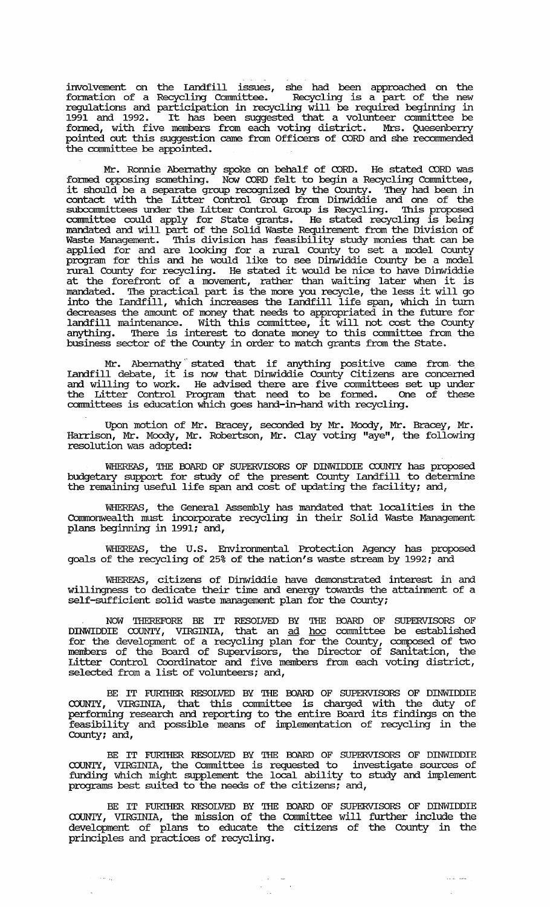involvement on the Landfill issues, she had been approached on the formation of a Recycling Committee. Recycling is a part of the new regulations and participation in recycling will be required beginning in 1991 and 1992. It has been suggested that a volunteer connnittee be fonned, with five members from each voting district. Mrs. Quesenberry pointed out this suggestion came from Officers of CORD and she reconunended the committee be appointed.

Mr. Ronnie Abernathy spoke on behalf of CORD. He stated CORD was formed opposing something. Now CORD felt to begin a Recycling Committee, it should be a separate group recognized by the County. They had been in contact with the Litter Control Group from Dinwiddie and one of the subconnnittees under the Litter Control Group is Recycling. '!his proposed committee could apply for state grants. He stated recycling is being mandated and will part of the Solid Waste Requirement from the Division of Waste Management. This division has feasibility study monies that can be applied for and are looking for a rural County to set a model County program for this and he would like to see Dinwiddie County be a model program for this and he would like to see Dimmiddie County be a model at the forefront of a movement, rather than waiting later when it is mandated. The practical part is the more you recycle, the less it will go into the Landfill, which increases the Landfill life span, which in tum decreases the amount of money that needs to appropriated in the future for landfill maintenance. With this connnittee, it will not cost the County anything. There is interest to donate money to this committee from the business sector of the County in order to match grants from the State.

Mr. Abernathy stated that if anything positive came from the Landfill debate, it is now that Dinwiddie County Citizens are concerned and willing to work. He advised there are five connnittees set up under the Litter Control Program that need to be fonned. One of these connnittees is education which goes hand-in-hand with recycling.

Upon motion of Mr. Bracey, seconded by Mr. Moody, Mr. Bracey, Mr. Harrison, Mr. Moody, Mr. Robertson, Mr. Clay voting "aye", the following resolution was adopted:

WHEREAS, THE OOARD OF SUPERVISORS OF DINWIDDIE COUNTY has proposed budgetary support for study of the present County Landfill to detennine the remaining useful life span and cost of updating the facility; and,

WHEREAS, the General Assembly has mandated that localities in the Cormnonwealth must incorporate recycling in their Solid Waste Management plans beginning in 1991; and,

WHEREAS, the U.S. Environmental Protection Agency has proposed goals of the recycling of 25% of the nation's waste stream by 1992; and

WHEREAS, citizens of Dinwiddie have demonstrated interest in and willingness to dedicate their time and energy towards the attainment of a self-sufficient solid waste management plan for the County;

NOW THEREFORE BE IT RESOLVED BY THE OOARD OF SUPERVISORS OF DINWIDDIE COUNTY, VIRGINIA, that an ad hoc connnittee be established for the development of a recycling plan for the County, composed of two members of the Board of Supervisors, the Director of Sanitation, the Litter Control Coordinator and five members from each voting district, selected from a list of volunteers; and,

BE IT FURTHER RESOLVED BY THE BOARD OF SUPERVISORS OF DINWIDDIE COUNTY, VIRGINIA, that this connnittee is charged with the duty of perfonning research and reporting to the entire Board its findings on the feasibility and possible means of implementation of recycling in the County; and,

BE IT FURIHER RESOLVED BY THE OOARD OF SUPERVISORS OF DINWIDDIE COUNTY, VIRGINIA, the connnittee is requested to investigate sources of funding which might supplement the local ability to study and implement programs best suited to the needs of the citizens; and,

BE IT FURIHER RESOLVED BY THE OOARD OF SUPERVISORS OF DINWIDDIE COUNTY, VIRGINIA, the mission of the Cormnittee will further include the development of plans to educate the citizens of the County in the principles and practices of recycling.

 $\begin{aligned} \frac{1}{2} \left( \frac{1}{2} \right) & = \frac{1}{2} \left( \frac{1}{2} \right) \\ \frac{1}{2} \left( \frac{1}{2} \right) & = \frac{1}{2} \left( \frac{1}{2} \right) \\ \frac{1}{2} \left( \frac{1}{2} \right) & = \frac{1}{2} \left( \frac{1}{2} \right) \\ \frac{1}{2} \left( \frac{1}{2} \right) & = \frac{1}{2} \left( \frac{1}{2} \right) \\ \frac{1}{2} \left( \frac{1}{2} \right) & = \frac{1}{2} \left( \frac{1}{2} \right) \\$ 

 $\mathcal{L}_{\mathcal{F}}$  and  $\mathcal{L}_{\mathcal{F}}$  and  $\mathcal{L}_{\mathcal{F}}$ 

 $\sigma = \sigma_{\rm eq}$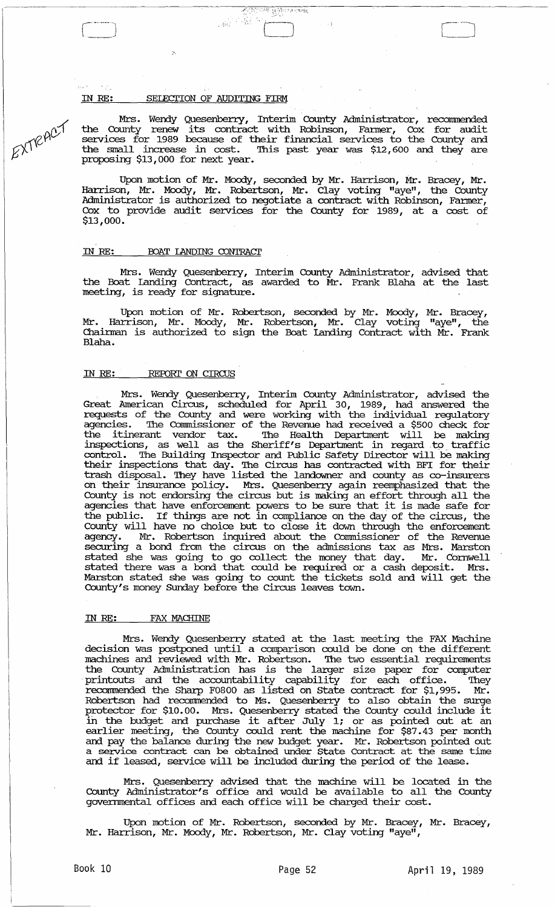#### IN RE: SELECTION OF AUDITING FIRM

 $\hat{\mathcal{P}}$ 

EXTRACT

Mrs. Wendy Quesenberry, Interim County Administrator, recommended the County renew its contract with Robinson, Fanner, Cox for audit services for 1989 because of their financial services to the County and the small increase in cost. This past year was \$12,600 and they are proposing \$13,000 for next year.

'.,.

Upon motion of Mr. Moody, seconded by Mr. Harrison, Mr. Bracey, Mr. Harrison, Mr. Moody, Mr. Robertson, Mr. Clay voting "aye", the County Administrator is authorized to negotiate a contract with Robinson, Fanner, Cox to provide audit services for the County for 1989, at a cost of \$13,000.

#### IN RE: BOAT LANDING CONTRACT

Mrs. Wendy Quesenberry, Interim County Administrator, advised that the Boat landing Contract, as awarded to Mr. Frank Blaha at the last meeting, is ready for signature.

Upon motion of Mr. Robertson, seconded by Mr. Moody, Mr. Bracey, Mr. Harrison, Mr. Moody, Mr. Robertson, Mr. Clay voting "aye", the Chainnan is authorized to sign the Boat landing Contract with Mr. Frank Blaha.

#### IN RE: REPORT ON CIRCUS

Mrs. Wendy Quesenberry, Interim County Administrator, advised the Great American circus, scheduled for April 30, 1989, had answered the requests of the County and were working with the individual regulatory agencies. The Commissioner of the Revenue had received a \$500 check for the itinerant vendor tax. The Health Department will be making inspections, as well as the Sheriff's Department in regard to traffic control. The Building Inspector and Public Safety Director will be making their inspections that day. The Circus has contracted with BFI for their trash disposal. They have listed the landowner and county as co-insurers on their insurance policy. Mrs. Quesenberry again reemphasized that the County is not endorsing the circus but is making an effort through all the agencies that have enforcement powers to be sure that it is made safe for the public. If things are not in compliance on the day of the circus, the County will have no choice but to close it down through the enforcement agency. Mr. Robertson inquired about the commissioner of the Revenue securing a bond from the circus on the admissions tax as Mrs. Marston stated she was going to go collect the money that day. Mr. Cornwell stated there was a bond that could be required or a cash deposit. Mrs. Marston stated she was going to count the tickets sold and will get the County's money Sunday before the Circus leaves town.

#### IN RE: FAX MACHINE

Mrs. Wendy Quesenberry stated at the last meeting the FAX Machine decision was postponed until a comparison could be done on the different machines and reviewed with Mr. Robertson. The two essential requirements the County Administration has is the larger size paper for computer printouts and the accountability capability for each office. They recommended the Sharp F0800 as listed on state contract for \$1,995. Mr. Robertson had recommended to Ms. Quesenberry to also obtain the surge protector for \$10.00. Mrs. Quesenberry stated the County could include it protector for \$10.00. Mrs. Quesemberry stated the county cound include it<br>in the budget and purchase it after July 1; or as pointed out at an earlier meeting, the County could rent the machine for \$87.43 per month and pay the balance during the new budget year. Mr. Robertson pointed out and pay the Karance daring the new badget year. The Robertson pointed out and if leased, service will be included during the period of the lease.

Mrs. Quesenberry advised that the machine will be located in the County Administrator's office and would be available to all the County governmental offices and each office will be charged their cost.

Upon motion of Mr. Robertson, seconded by Mr. Bracey, Mr. Bracey, Mr. Harrison, Mr. Moody, Mr. Robertson, Mr. Clay voting "aye",